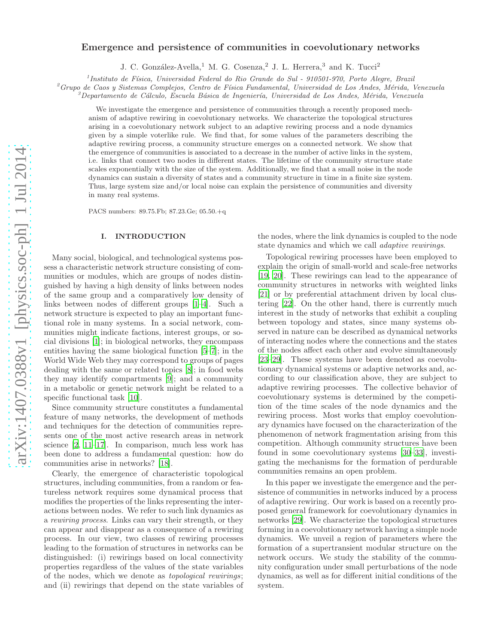# arXiv:1407.0388v1 [physics.soc-ph] 1 Jul 2014 [arXiv:1407.0388v1 \[physics.soc-ph\] 1 Jul 2014](http://arxiv.org/abs/1407.0388v1)

# Emergence and persistence of communities in coevolutionary networks

J. C. González-Avella,<sup>1</sup> M. G. Cosenza,<sup>2</sup> J. L. Herrera,<sup>3</sup> and K. Tucci<sup>2</sup>

<sup>1</sup> Instituto de Física, Universidad Federal do Rio Grande do Sul - 910501-970, Porto Alegre, Brazil

 ${}^{2}G$ rupo de Caos y Sistemas Complejos, Centro de Física Fundamental, Universidad de Los Andes, Mérida, Venezuela

 $3$ Departamento de Cálculo, Escuela Básica de Ingeniería, Universidad de Los Andes, Mérida, Venezuela

We investigate the emergence and persistence of communities through a recently proposed mechanism of adaptive rewiring in coevolutionary networks. We characterize the topological structures arising in a coevolutionary network subject to an adaptive rewiring process and a node dynamics given by a simple voterlike rule. We find that, for some values of the parameters describing the adaptive rewiring process, a community structure emerges on a connected network. We show that the emergence of communities is associated to a decrease in the number of active links in the system, i.e. links that connect two nodes in different states. The lifetime of the community structure state scales exponentially with the size of the system. Additionally, we find that a small noise in the node dynamics can sustain a diversity of states and a community structure in time in a finite size system. Thus, large system size and/or local noise can explain the persistence of communities and diversity in many real systems.

PACS numbers: 89.75.Fb; 87.23.Ge; 05.50.+q

# I. INTRODUCTION

Many social, biological, and technological systems possess a characteristic network structure consisting of communities or modules, which are groups of nodes distinguished by having a high density of links between nodes of the same group and a comparatively low density of links between nodes of different groups [\[1](#page-5-0)[–4\]](#page-5-1). Such a network structure is expected to play an important functional role in many systems. In a social network, communities might indicate factions, interest groups, or social divisions [\[1\]](#page-5-0); in biological networks, they encompass entities having the same biological function [\[5](#page-5-2)[–7\]](#page-5-3); in the World Wide Web they may correspond to groups of pages dealing with the same or related topics [\[8](#page-5-4)]; in food webs they may identify compartments [\[9\]](#page-5-5); and a community in a metabolic or genetic network might be related to a specific functional task [\[10\]](#page-5-6).

Since community structure constitutes a fundamental feature of many networks, the development of methods and techniques for the detection of communities represents one of the most active research areas in network science [\[2](#page-5-7), [11](#page-5-8)[–17](#page-5-9)]. In comparison, much less work has been done to address a fundamental question: how do communities arise in networks? [\[18](#page-5-10)].

Clearly, the emergence of characteristic topological structures, including communities, from a random or featureless network requires some dynamical process that modifies the properties of the links representing the interactions between nodes. We refer to such link dynamics as a rewiring process. Links can vary their strength, or they can appear and disappear as a consequence of a rewiring process. In our view, two classes of rewiring processes leading to the formation of structures in networks can be distinguished: (i) rewirings based on local connectivity properties regardless of the values of the state variables of the nodes, which we denote as topological rewirings; and (ii) rewirings that depend on the state variables of

the nodes, where the link dynamics is coupled to the node state dynamics and which we call adaptive rewirings.

Topological rewiring processes have been employed to explain the origin of small-world and scale-free networks [\[19,](#page-5-11) [20](#page-5-12)]. These rewirings can lead to the appearance of community structures in networks with weighted links [\[21\]](#page-5-13) or by preferential attachment driven by local clustering [\[22\]](#page-5-14). On the other hand, there is currently much interest in the study of networks that exhibit a coupling between topology and states, since many systems observed in nature can be described as dynamical networks of interacting nodes where the connections and the states of the nodes affect each other and evolve simultaneously [\[23](#page-5-15)[–29\]](#page-5-16). These systems have been denoted as coevolutionary dynamical systems or adaptive networks and, according to our classification above, they are subject to adaptive rewiring processes. The collective behavior of coevolutionary systems is determined by the competition of the time scales of the node dynamics and the rewiring process. Most works that employ coevolutionary dynamics have focused on the characterization of the phenomenon of network fragmentation arising from this competition. Although community structures have been found in some coevolutionary systems [\[30](#page-5-17)[–33](#page-5-18)], investigating the mechanisms for the formation of perdurable communities remains an open problem.

In this paper we investigate the emergence and the persistence of communities in networks induced by a process of adaptive rewiring. Our work is based on a recently proposed general framework for coevolutionary dynamics in networks [\[29](#page-5-16)]. We characterize the topological structures forming in a coevolutionary network having a simple node dynamics. We unveil a region of parameters where the formation of a supertransient modular structure on the network occurs. We study the stability of the community configuration under small perturbations of the node dynamics, as well as for different initial conditions of the system.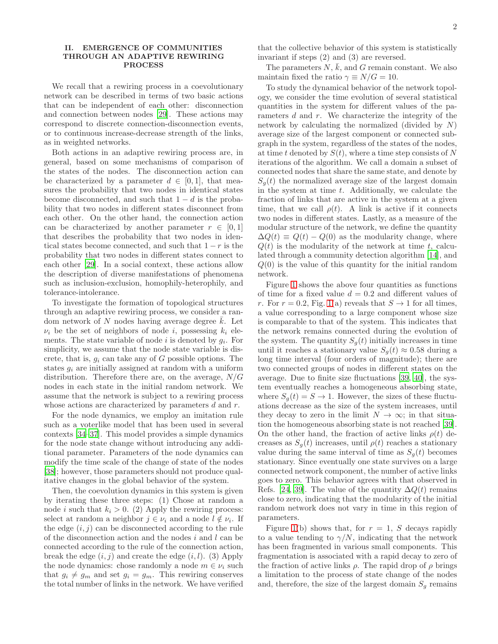### II. EMERGENCE OF COMMUNITIES THROUGH AN ADAPTIVE REWIRING PROCESS

We recall that a rewiring process in a coevolutionary network can be described in terms of two basic actions that can be independent of each other: disconnection and connection between nodes [\[29\]](#page-5-16). These actions may correspond to discrete connection-disconnection events, or to continuous increase-decrease strength of the links, as in weighted networks.

Both actions in an adaptive rewiring process are, in general, based on some mechanisms of comparison of the states of the nodes. The disconnection action can be characterized by a parameter  $d \in [0,1]$ , that measures the probability that two nodes in identical states become disconnected, and such that  $1 - d$  is the probability that two nodes in different states disconnect from each other. On the other hand, the connection action can be characterized by another parameter  $r \in [0,1]$ that describes the probability that two nodes in identical states become connected, and such that  $1 - r$  is the probability that two nodes in different states connect to each other [\[29](#page-5-16)]. In a social context, these actions allow the description of diverse manifestations of phenomena such as inclusion-exclusion, homophily-heterophily, and tolerance-intolerance.

To investigate the formation of topological structures through an adaptive rewiring process, we consider a random network of N nodes having average degree  $\bar{k}$ . Let  $\nu_i$  be the set of neighbors of node *i*, possessing  $k_i$  elements. The state variable of node  $i$  is denoted by  $g_i$ . For simplicity, we assume that the node state variable is discrete, that is,  $q_i$  can take any of G possible options. The states  $q_i$  are initially assigned at random with a uniform distribution. Therefore there are, on the average,  $N/G$ nodes in each state in the initial random network. We assume that the network is subject to a rewiring process whose actions are characterized by parameters d and r.

For the node dynamics, we employ an imitation rule such as a voterlike model that has been used in several contexts [\[34–](#page-5-19)[37\]](#page-5-20). This model provides a simple dynamics for the node state change without introducing any additional parameter. Parameters of the node dynamics can modify the time scale of the change of state of the nodes [\[38\]](#page-5-21); however, those parameters should not produce qualitative changes in the global behavior of the system.

Then, the coevolution dynamics in this system is given by iterating these three steps: (1) Chose at random a node *i* such that  $k_i > 0$ . (2) Apply the rewiring process: select at random a neighbor  $j \in \nu_i$  and a node  $l \notin \nu_i$ . If the edge  $(i, j)$  can be disconnected according to the rule of the disconnection action and the nodes  $i$  and  $l$  can be connected according to the rule of the connection action, break the edge  $(i, j)$  and create the edge  $(i, l)$ . (3) Apply the node dynamics: chose randomly a node  $m \in \nu_i$  such that  $g_i \neq g_m$  and set  $g_i = g_m$ . This rewiring conserves the total number of links in the network. We have verified

that the collective behavior of this system is statistically invariant if steps (2) and (3) are reversed.

The parameters  $N, \bar{k}$ , and G remain constant. We also maintain fixed the ratio  $\gamma \equiv N/G = 10$ .

To study the dynamical behavior of the network topology, we consider the time evolution of several statistical quantities in the system for different values of the parameters d and r. We characterize the integrity of the network by calculating the normalized (divided by N) average size of the largest component or connected subgraph in the system, regardless of the states of the nodes, at time t denoted by  $S(t)$ , where a time step consists of N iterations of the algorithm. We call a domain a subset of connected nodes that share the same state, and denote by  $S_q(t)$  the normalized average size of the largest domain in the system at time t. Additionally, we calculate the fraction of links that are active in the system at a given time, that we call  $\rho(t)$ . A link is active if it connects two nodes in different states. Lastly, as a measure of the modular structure of the network, we define the quantity  $\Delta Q(t) \equiv Q(t) - Q(0)$  as the modularity change, where  $Q(t)$  is the modularity of the network at time t, calculated through a community detection algorithm [\[14\]](#page-5-22), and  $Q(0)$  is the value of this quantity for the initial random network.

Figure [1](#page-2-0) shows the above four quantities as functions of time for a fixed value  $d = 0.2$  and different values of r. For  $r = 0.2$ , Fig. [1\(](#page-2-0)a) reveals that  $S \rightarrow 1$  for all times, a value corresponding to a large component whose size is comparable to that of the system. This indicates that the network remains connected during the evolution of the system. The quantity  $S_g(t)$  initially increases in time until it reaches a stationary value  $S_q(t) \approx 0.58$  during a long time interval (four orders of magnitude); there are two connected groups of nodes in different states on the average. Due to finite size fluctuations [\[39,](#page-5-23) [40](#page-5-24)], the system eventually reaches a homogeneous absorbing state, where  $S_q(t) = S \rightarrow 1$ . However, the sizes of these fluctuations decrease as the size of the system increases, until they decay to zero in the limit  $N \to \infty$ ; in that situation the homogeneous absorbing state is not reached [\[39\]](#page-5-23). On the other hand, the fraction of active links  $\rho(t)$  decreases as  $S_q(t)$  increases, until  $\rho(t)$  reaches a stationary value during the same interval of time as  $S_q(t)$  becomes stationary. Since eventually one state survives on a large connected network component, the number of active links goes to zero. This behavior agrees with that observed in Refs. [\[24,](#page-5-25) [39](#page-5-23)]. The value of the quantity  $\Delta Q(t)$  remains close to zero, indicating that the modularity of the initial random network does not vary in time in this region of parameters.

Figure [1\(](#page-2-0)b) shows that, for  $r = 1$ , S decays rapidly to a value tending to  $\gamma/N$ , indicating that the network has been fragmented in various small components. This fragmentation is associated with a rapid decay to zero of the fraction of active links  $\rho$ . The rapid drop of  $\rho$  brings a limitation to the process of state change of the nodes and, therefore, the size of the largest domain  $S<sub>q</sub>$  remains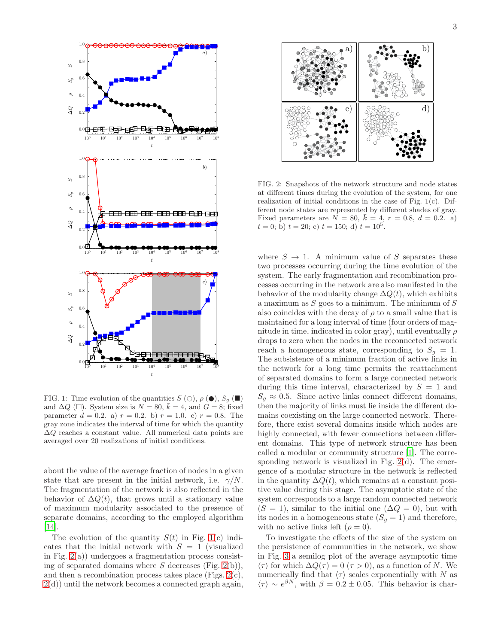

<span id="page-2-0"></span>FIG. 1: Time evolution of the quantities  $S(\bigcirc), \rho(\bullet), S_g(\blacksquare)$ and  $\Delta Q$  ( $\square$ ). System size is  $N = 80$ ,  $\bar{k} = 4$ , and  $G = 8$ ; fixed parameter  $d = 0.2$ . a)  $r = 0.2$ . b)  $r = 1.0$ . c)  $r = 0.8$ . The gray zone indicates the interval of time for which the quantity  $\Delta Q$  reaches a constant value. All numerical data points are averaged over 20 realizations of initial conditions.

about the value of the average fraction of nodes in a given state that are present in the initial network, i.e.  $\gamma/N$ . The fragmentation of the network is also reflected in the behavior of  $\Delta Q(t)$ , that grows until a stationary value of maximum modularity associated to the presence of separate domains, according to the employed algorithm [\[14\]](#page-5-22).

The evolution of the quantity  $S(t)$  in Fig. [1\(](#page-2-0)c) indicates that the initial network with  $S = 1$  (visualized in Fig.  $2(a)$ ) undergoes a fragmentation process consisting of separated domains where  $S$  decreases (Fig. [2\(](#page-2-1)b)), and then a recombination process takes place (Figs. [2\(](#page-2-1)c),  $2(d)$  $2(d)$ ) until the network becomes a connected graph again, 3



<span id="page-2-1"></span>FIG. 2: Snapshots of the network structure and node states at different times during the evolution of the system, for one realization of initial conditions in the case of Fig.  $1(c)$ . Different node states are represented by different shades of gray. Fixed parameters are  $N = 80, k = 4, r = 0.8, d = 0.2.$  a)  $t = 0; \dot{b}) t = 20; c) t = 150; d) t = 10<sup>5</sup>.$ 

where  $S \to 1$ . A minimum value of S separates these two processes occurring during the time evolution of the system. The early fragmentation and recombination processes occurring in the network are also manifested in the behavior of the modularity change  $\Delta Q(t)$ , which exhibits a maximum as  $S$  goes to a minimum. The minimum of  $S$ also coincides with the decay of  $\rho$  to a small value that is maintained for a long interval of time (four orders of magnitude in time, indicated in color gray), until eventually  $\rho$ drops to zero when the nodes in the reconnected network reach a homogeneous state, corresponding to  $S_q = 1$ . The subsistence of a minimum fraction of active links in the network for a long time permits the reattachment of separated domains to form a large connected network during this time interval, characterized by  $S = 1$  and  $S_q \approx 0.5$ . Since active links connect different domains, then the majority of links must lie inside the different domains coexisting on the large connected network. Therefore, there exist several domains inside which nodes are highly connected, with fewer connections between different domains. This type of network structure has been called a modular or community structure [\[1\]](#page-5-0). The corresponding network is visualized in Fig. [2\(](#page-2-1)d). The emergence of a modular structure in the network is reflected in the quantity  $\Delta Q(t)$ , which remains at a constant positive value during this stage. The asymptotic state of the system corresponds to a large random connected network  $(S = 1)$ , similar to the initial one  $(\Delta Q = 0)$ , but with its nodes in a homogeneous state  $(S_q = 1)$  and therefore, with no active links left  $(\rho = 0)$ .

To investigate the effects of the size of the system on the persistence of communities in the network, we show in Fig. [3](#page-3-0) a semilog plot of the average asymptotic time  $\langle \tau \rangle$  for which  $\Delta Q(\tau) = 0$  ( $\tau > 0$ ), as a function of N. We numerically find that  $\langle \tau \rangle$  scales exponentially with N as  $\langle \tau \rangle \sim e^{\beta N}$ , with  $\beta = 0.2 \pm 0.05$ . This behavior is char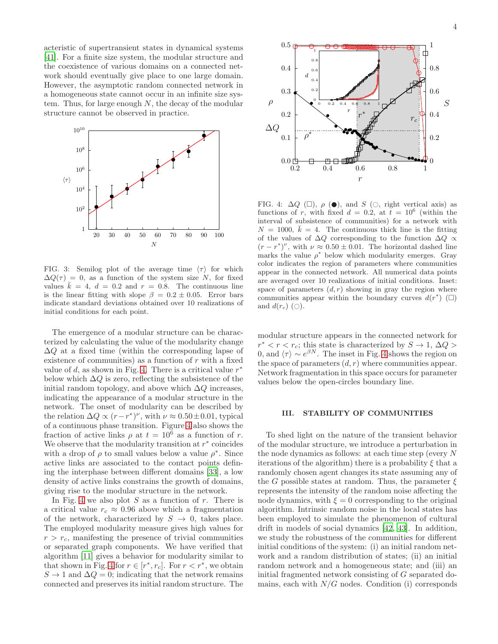acteristic of supertransient states in dynamical systems [\[41\]](#page-5-26). For a finite size system, the modular structure and the coexistence of various domains on a connected network should eventually give place to one large domain. However, the asymptotic random connected network in a homogeneous state cannot occur in an infinite size system. Thus, for large enough  $N$ , the decay of the modular structure cannot be observed in practice.



<span id="page-3-0"></span>FIG. 3: Semilog plot of the average time  $\langle \tau \rangle$  for which  $\Delta Q(\tau) = 0$ , as a function of the system size N, for fixed values  $\bar{k} = 4$ ,  $d = 0.2$  and  $r = 0.8$ . The continuous line is the linear fitting with slope  $\beta = 0.2 \pm 0.05$ . Error bars indicate standard deviations obtained over 10 realizations of initial conditions for each point.

The emergence of a modular structure can be characterized by calculating the value of the modularity change  $\Delta Q$  at a fixed time (within the corresponding lapse of existence of communities) as a function of  $r$  with a fixed value of d, as shown in Fig. [4.](#page-3-1) There is a critical value  $r^*$ below which  $\Delta Q$  is zero, reflecting the subsistence of the initial random topology, and above which  $\Delta Q$  increases, indicating the appearance of a modular structure in the network. The onset of modularity can be described by the relation  $\Delta Q \propto (r - r^*)^{\nu}$ , with  $\nu \approx 0.50 \pm 0.01$ , typical of a continuous phase transition. Figure [4](#page-3-1) also shows the fraction of active links  $\rho$  at  $t = 10^6$  as a function of r. We observe that the modularity transition at  $r^*$  coincides with a drop of  $\rho$  to small values below a value  $\rho^*$ . Since active links are associated to the contact points defining the interphase between different domains [\[33\]](#page-5-18), a low density of active links constrains the growth of domains, giving rise to the modular structure in the network.

In Fig. [4](#page-3-1) we also plot  $S$  as a function of  $r$ . There is a critical value  $r_c \approx 0.96$  above which a fragmentation of the network, characterized by  $S \rightarrow 0$ , takes place. The employed modularity measure gives high values for  $r > r_c$ , manifesting the presence of trivial communities or separated graph components. We have verified that algorithm [\[11](#page-5-8)] gives a behavior for modularity similar to that shown in Fig. [4](#page-3-1) for  $r \in [r^*, r_c]$ . For  $r < r^*$ , we obtain  $S \to 1$  and  $\Delta Q = 0$ ; indicating that the network remains connected and preserves its initial random structure. The



<span id="page-3-1"></span>FIG. 4:  $\Delta Q$  ( $\square$ ),  $\rho$  ( $\bullet$ ), and S ( $\circ$ , right vertical axis) as functions of r, with fixed  $d = 0.2$ , at  $t = 10^6$  (within the interval of subsistence of communities) for a network with  $N = 1000, \bar{k} = 4$ . The continuous thick line is the fitting of the values of  $\Delta Q$  corresponding to the function  $\Delta Q \propto$  $(r - r^*)^{\nu}$ , with  $\nu \approx 0.50 \pm 0.01$ . The horizontal dashed line marks the value  $\rho^*$  below which modularity emerges. Gray color indicates the region of parameters where communities appear in the connected network. All numerical data points are averaged over 10 realizations of initial conditions. Inset: space of parameters  $(d, r)$  showing in gray the region where communities appear within the boundary curves  $d(r^*)$  ( $\Box$ ) and  $d(r_c)$  ( $\bigcirc$ ).

modular structure appears in the connected network for  $r^* < r < r_c$ ; this state is characterized by  $S \to 1, \Delta Q >$ 0, and  $\langle \tau \rangle \sim e^{\beta N}$ . The inset in Fig. [4](#page-3-1) shows the region on the space of parameters  $(d, r)$  where communities appear. Network fragmentation in this space occurs for parameter values below the open-circles boundary line.

### III. STABILITY OF COMMUNITIES

To shed light on the nature of the transient behavior of the modular structure, we introduce a perturbation in the node dynamics as follows: at each time step (every N iterations of the algorithm) there is a probability  $\xi$  that a randomly chosen agent changes its state assuming any of the G possible states at random. Thus, the parameter  $\xi$ represents the intensity of the random noise affecting the node dynamics, with  $\xi = 0$  corresponding to the original algorithm. Intrinsic random noise in the local states has been employed to simulate the phenomenon of cultural drift in models of social dynamics [\[42,](#page-5-27) [43](#page-5-28)]. In addition, we study the robustness of the communities for different initial conditions of the system: (i) an initial random network and a random distribution of states; (ii) an initial random network and a homogeneous state; and (iii) an initial fragmented network consisting of G separated domains, each with  $N/G$  nodes. Condition (i) corresponds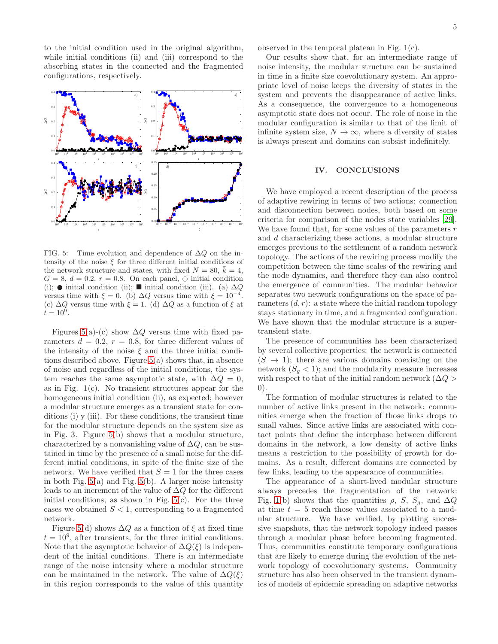to the initial condition used in the original algorithm, while initial conditions (ii) and (iii) correspond to the absorbing states in the connected and the fragmented configurations, respectively.



<span id="page-4-0"></span>FIG. 5: Time evolution and dependence of  $\Delta Q$  on the intensity of the noise  $\xi$  for three different initial conditions of the network structure and states, with fixed  $N = 80, \bar{k} = 4$ ,  $G = 8, d = 0.2, r = 0.8$ . On each panel,  $\circ$  initial condition (i);  $\bullet$  initial condition (ii);  $\blacksquare$  initial condition (iii). (a)  $\Delta Q$ versus time with  $\xi = 0$ . (b)  $\Delta Q$  versus time with  $\xi = 10^{-4}$ . (c)  $\Delta Q$  versus time with  $\xi = 1$ . (d)  $\Delta Q$  as a function of  $\xi$  at  $\dot{t} = 10^5$ .

Figures [5\(](#page-4-0)a)-(c) show  $\Delta Q$  versus time with fixed parameters  $d = 0.2$ ,  $r = 0.8$ , for three different values of the intensity of the noise  $\xi$  and the three initial conditions described above. Figure [5\(](#page-4-0)a) shows that, in absence of noise and regardless of the initial conditions, the system reaches the same asymptotic state, with  $\Delta Q = 0$ , as in Fig. 1(c). No transient structures appear for the homogeneous initial condition (ii), as expected; however a modular structure emerges as a transient state for conditions (i) y (iii). For these conditions, the transient time for the modular structure depends on the system size as in Fig. 3. Figure [5\(](#page-4-0)b) shows that a modular structure, characterized by a nonvanishing value of  $\Delta Q$ , can be sustained in time by the presence of a small noise for the different initial conditions, in spite of the finite size of the network. We have verified that  $S = 1$  for the three cases in both Fig.  $5(a)$  and Fig.  $5(b)$ . A larger noise intensity leads to an increment of the value of  $\Delta Q$  for the different initial conditions, as shown in Fig.  $5(c)$ . For the three cases we obtained  $S < 1$ , corresponding to a fragmented network.

Figure [5\(](#page-4-0)d) shows  $\Delta Q$  as a function of  $\xi$  at fixed time  $t = 10<sup>9</sup>$ , after transients, for the three initial conditions. Note that the asymptotic behavior of  $\Delta Q(\xi)$  is independent of the initial conditions. There is an intermediate range of the noise intensity where a modular structure can be maintained in the network. The value of  $\Delta Q(\xi)$ in this region corresponds to the value of this quantity

observed in the temporal plateau in Fig. 1(c).

Our results show that, for an intermediate range of noise intensity, the modular structure can be sustained in time in a finite size coevolutionary system. An appropriate level of noise keeps the diversity of states in the system and prevents the disappearance of active links. As a consequence, the convergence to a homogeneous asymptotic state does not occur. The role of noise in the modular configuration is similar to that of the limit of infinite system size,  $N \to \infty$ , where a diversity of states is always present and domains can subsist indefinitely.

# IV. CONCLUSIONS

We have employed a recent description of the process of adaptive rewiring in terms of two actions: connection and disconnection between nodes, both based on some criteria for comparison of the nodes state variables [\[29\]](#page-5-16). We have found that, for some values of the parameters  $r$ and d characterizing these actions, a modular structure emerges previous to the settlement of a random network topology. The actions of the rewiring process modify the competition between the time scales of the rewiring and the node dynamics, and therefore they can also control the emergence of communities. The modular behavior separates two network configurations on the space of parameters  $(d, r)$ : a state where the initial random topology stays stationary in time, and a fragmented configuration. We have shown that the modular structure is a supertransient state.

The presence of communities has been characterized by several collective properties: the network is connected  $(S \rightarrow 1)$ ; there are various domains coexisting on the network  $(S_q < 1)$ ; and the modularity measure increases with respect to that of the initial random network ( $\Delta Q >$ 0).

The formation of modular structures is related to the number of active links present in the network: communities emerge when the fraction of those links drops to small values. Since active links are associated with contact points that define the interphase between different domains in the network, a low density of active links means a restriction to the possibility of growth for domains. As a result, different domains are connected by few links, leading to the appearance of communities.

The appearance of a short-lived modular structure always precedes the fragmentation of the network: Fig. [1\(](#page-2-0)b) shows that the quantities  $\rho$ , S, S<sub>g</sub>, and  $\Delta Q$ at time  $t = 5$  reach those values associated to a modular structure. We have verified, by plotting successive snapshots, that the network topology indeed passes through a modular phase before becoming fragmented. Thus, communities constitute temporary configurations that are likely to emerge during the evolution of the network topology of coevolutionary systems. Community structure has also been observed in the transient dynamics of models of epidemic spreading on adaptive networks